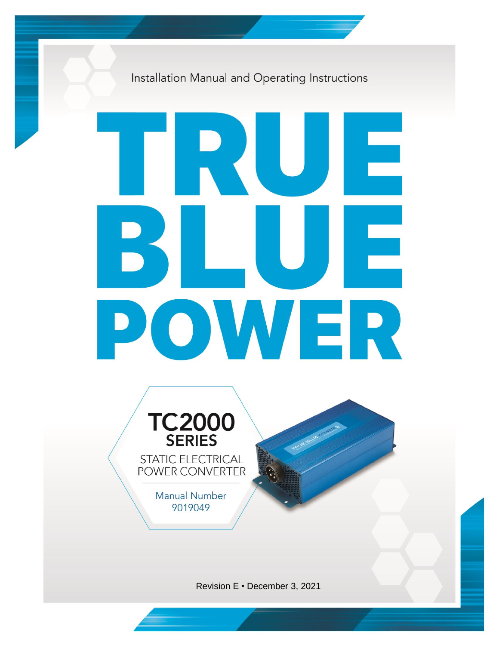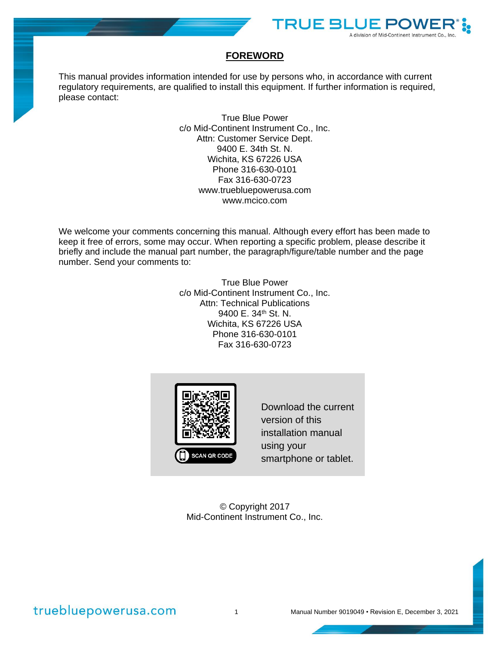

### **FOREWORD**

This manual provides information intended for use by persons who, in accordance with current regulatory requirements, are qualified to install this equipment. If further information is required, please contact:

> True Blue Power c/o Mid-Continent Instrument Co., Inc. Attn: Customer Service Dept. 9400 E. 34th St. N. Wichita, KS 67226 USA Phone 316-630-0101 Fax 316-630-0723 [www.truebluepowerusa.com](http://www.truebluepowerusa.com/) [www.mcico.com](http://www.mcico.com/)

We welcome your comments concerning this manual. Although every effort has been made to keep it free of errors, some may occur. When reporting a specific problem, please describe it briefly and include the manual part number, the paragraph/figure/table number and the page number. Send your comments to:

> True Blue Power c/o Mid-Continent Instrument Co., Inc. Attn: Technical Publications 9400 E. 34<sup>th</sup> St. N. Wichita, KS 67226 USA Phone 316-630-0101 Fax 316-630-0723



Download the current version of this installation manual using your smartphone or tablet.

© Copyright 2017 Mid-Continent Instrument Co., Inc.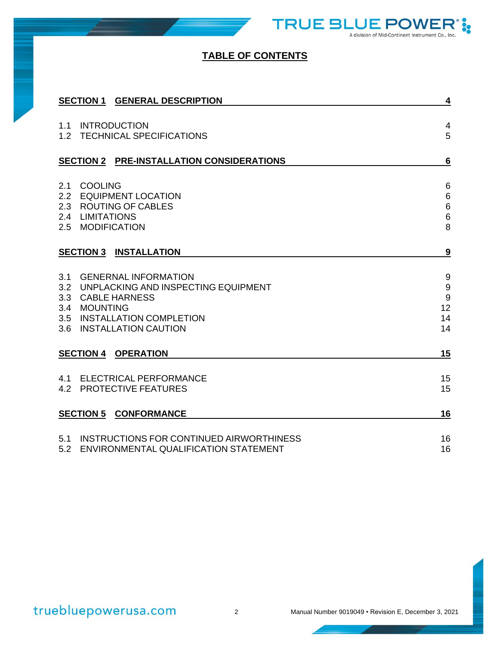

# **TABLE OF CONTENTS**

|            | <b>SECTION 1 GENERAL DESCRIPTION</b>                                                                                                                                   | 4                                                                            |
|------------|------------------------------------------------------------------------------------------------------------------------------------------------------------------------|------------------------------------------------------------------------------|
| 1.1<br>1.2 | <b>INTRODUCTION</b><br><b>TECHNICAL SPECIFICATIONS</b>                                                                                                                 | $\overline{4}$<br>5                                                          |
|            | SECTION 2 PRE-INSTALLATION CONSIDERATIONS                                                                                                                              | $6\phantom{1}6$                                                              |
| 2.1<br>2.2 | <b>COOLING</b><br><b>EQUIPMENT LOCATION</b><br>2.3 ROUTING OF CABLES<br>2.4 LIMITATIONS<br>2.5 MODIFICATION                                                            | $6\phantom{1}6$<br>$\,$ 6 $\,$<br>$\begin{array}{c} 6 \\ 6 \end{array}$<br>8 |
|            | <b>SECTION 3 INSTALLATION</b>                                                                                                                                          | 9                                                                            |
| 3.1        | <b>GENERNAL INFORMATION</b><br>3.2 UNPLACKING AND INSPECTING EQUIPMENT<br>3.3 CABLE HARNESS<br>3.4 MOUNTING<br>3.5 INSTALLATION COMPLETION<br>3.6 INSTALLATION CAUTION | $\boldsymbol{9}$<br>$\boldsymbol{9}$<br>9<br>12<br>14<br>14                  |
|            | <b>SECTION 4 OPERATION</b>                                                                                                                                             | 15                                                                           |
|            | 4.1 ELECTRICAL PERFORMANCE<br>4.2 PROTECTIVE FEATURES                                                                                                                  | 15<br>15                                                                     |
|            | <b>SECTION 5 CONFORMANCE</b>                                                                                                                                           | 16                                                                           |
| 5.1<br>5.2 | INSTRUCTIONS FOR CONTINUED AIRWORTHINESS<br>ENVIRONMENTAL QUALIFICATION STATEMENT                                                                                      | 16<br>16                                                                     |

å,

JE PO

A division of Mid-Continent Instrument Co., Inc.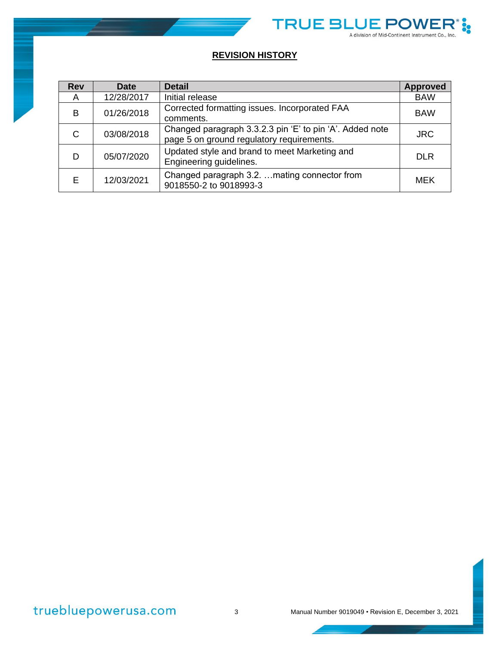

# **REVISION HISTORY**

| <b>Rev</b> | <b>Date</b> | <b>Detail</b>                                                                                         | <b>Approved</b> |
|------------|-------------|-------------------------------------------------------------------------------------------------------|-----------------|
| A          | 12/28/2017  | Initial release                                                                                       | <b>BAW</b>      |
| B          | 01/26/2018  | Corrected formatting issues. Incorporated FAA<br>comments.                                            | <b>BAW</b>      |
| C.         | 03/08/2018  | Changed paragraph 3.3.2.3 pin 'E' to pin 'A'. Added note<br>page 5 on ground regulatory requirements. | <b>JRC</b>      |
| D          | 05/07/2020  | Updated style and brand to meet Marketing and<br>Engineering guidelines.                              | <b>DLR</b>      |
| F.         | 12/03/2021  | Changed paragraph 3.2.  mating connector from<br>9018550-2 to 9018993-3                               | MEK             |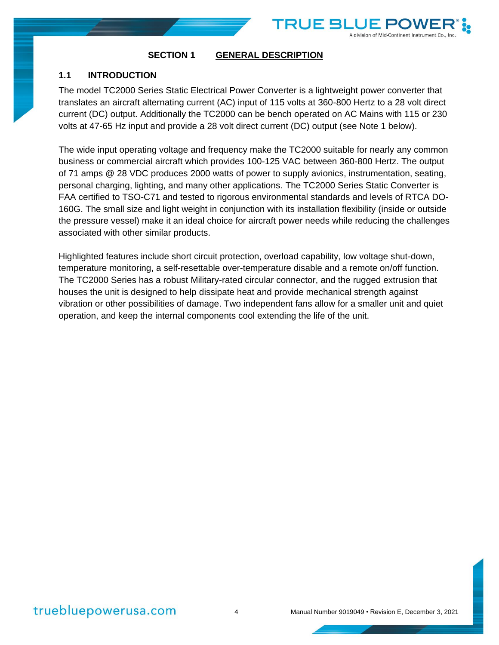

### <span id="page-4-1"></span><span id="page-4-0"></span>**1.1 INTRODUCTION**

The model TC2000 Series Static Electrical Power Converter is a lightweight power converter that translates an aircraft alternating current (AC) input of 115 volts at 360-800 Hertz to a 28 volt direct current (DC) output. Additionally the TC2000 can be bench operated on AC Mains with 115 or 230 volts at 47-65 Hz input and provide a 28 volt direct current (DC) output (see Note 1 below).

TRUE B

division of Mid-Continent Instrument Co.

The wide input operating voltage and frequency make the TC2000 suitable for nearly any common business or commercial aircraft which provides 100-125 VAC between 360-800 Hertz. The output of 71 amps @ 28 VDC produces 2000 watts of power to supply avionics, instrumentation, seating, personal charging, lighting, and many other applications. The TC2000 Series Static Converter is FAA certified to TSO-C71 and tested to rigorous environmental standards and levels of RTCA DO-160G. The small size and light weight in conjunction with its installation flexibility (inside or outside the pressure vessel) make it an ideal choice for aircraft power needs while reducing the challenges associated with other similar products.

Highlighted features include short circuit protection, overload capability, low voltage shut-down, temperature monitoring, a self-resettable over-temperature disable and a remote on/off function. The TC2000 Series has a robust Military-rated circular connector, and the rugged extrusion that houses the unit is designed to help dissipate heat and provide mechanical strength against vibration or other possibilities of damage. Two independent fans allow for a smaller unit and quiet operation, and keep the internal components cool extending the life of the unit.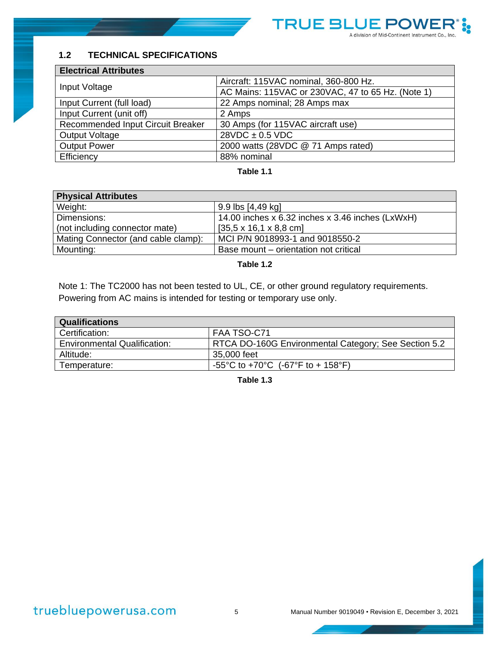

### <span id="page-5-0"></span>**1.2 TECHNICAL SPECIFICATIONS**

| <b>Electrical Attributes</b>      |                                                   |  |  |
|-----------------------------------|---------------------------------------------------|--|--|
|                                   | Aircraft: 115VAC nominal, 360-800 Hz.             |  |  |
| Input Voltage                     | AC Mains: 115VAC or 230VAC, 47 to 65 Hz. (Note 1) |  |  |
| Input Current (full load)         | 22 Amps nominal; 28 Amps max                      |  |  |
| Input Current (unit off)          | 2 Amps                                            |  |  |
| Recommended Input Circuit Breaker | 30 Amps (for 115VAC aircraft use)                 |  |  |
| <b>Output Voltage</b>             | $28VDC \pm 0.5 VDC$                               |  |  |
| <b>Output Power</b>               | 2000 watts (28VDC @ 71 Amps rated)                |  |  |
| Efficiency                        | 88% nominal                                       |  |  |

### **Table 1.1**

| <b>Physical Attributes</b>          |                                                  |  |  |
|-------------------------------------|--------------------------------------------------|--|--|
| Weight:                             | 9.9 lbs [4,49 kg]                                |  |  |
| Dimensions:                         | 14.00 inches x 6.32 inches x 3.46 inches (LxWxH) |  |  |
| (not including connector mate)      | $[35.5 \times 16.1 \times 8.8 \text{ cm}]$       |  |  |
| Mating Connector (and cable clamp): | MCI P/N 9018993-1 and 9018550-2                  |  |  |
| Mounting:                           | Base mount – orientation not critical            |  |  |

**Table 1.2**

Note 1: The TC2000 has not been tested to UL, CE, or other ground regulatory requirements. Powering from AC mains is intended for testing or temporary use only.

| <b>Qualifications</b>               |                                                      |  |  |
|-------------------------------------|------------------------------------------------------|--|--|
| Certification:                      | FAA TSO-C71                                          |  |  |
| <b>Environmental Qualification:</b> | RTCA DO-160G Environmental Category; See Section 5.2 |  |  |
| Altitude:                           | 35,000 feet                                          |  |  |
| Temperature:                        | -55°C to +70°C (-67°F to + 158°F)                    |  |  |

**Table 1.3**

truebluepowerusa.com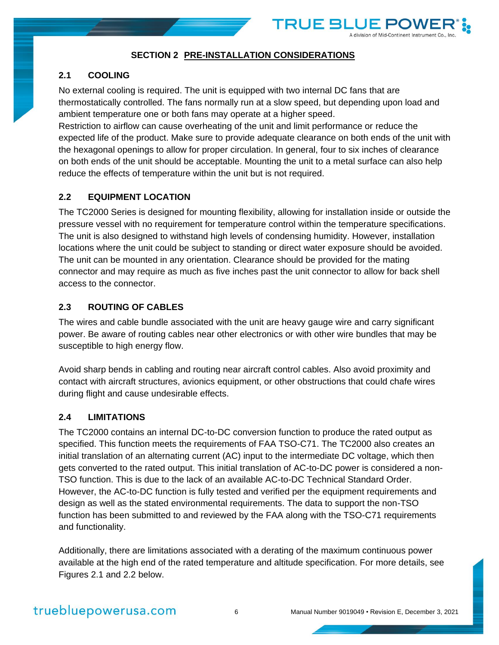

### **SECTION 2 PRE-INSTALLATION CONSIDERATIONS**

#### <span id="page-6-1"></span><span id="page-6-0"></span>**2.1 COOLING**

No external cooling is required. The unit is equipped with two internal DC fans that are thermostatically controlled. The fans normally run at a slow speed, but depending upon load and ambient temperature one or both fans may operate at a higher speed.

Restriction to airflow can cause overheating of the unit and limit performance or reduce the expected life of the product. Make sure to provide adequate clearance on both ends of the unit with the hexagonal openings to allow for proper circulation. In general, four to six inches of clearance on both ends of the unit should be acceptable. Mounting the unit to a metal surface can also help reduce the effects of temperature within the unit but is not required.

### <span id="page-6-2"></span>**2.2 EQUIPMENT LOCATION**

The TC2000 Series is designed for mounting flexibility, allowing for installation inside or outside the pressure vessel with no requirement for temperature control within the temperature specifications. The unit is also designed to withstand high levels of condensing humidity. However, installation locations where the unit could be subject to standing or direct water exposure should be avoided. The unit can be mounted in any orientation. Clearance should be provided for the mating connector and may require as much as five inches past the unit connector to allow for back shell access to the connector.

### <span id="page-6-3"></span>**2.3 ROUTING OF CABLES**

The wires and cable bundle associated with the unit are heavy gauge wire and carry significant power. Be aware of routing cables near other electronics or with other wire bundles that may be susceptible to high energy flow.

Avoid sharp bends in cabling and routing near aircraft control cables. Also avoid proximity and contact with aircraft structures, avionics equipment, or other obstructions that could chafe wires during flight and cause undesirable effects.

#### <span id="page-6-4"></span>**2.4 LIMITATIONS**

The TC2000 contains an internal DC-to-DC conversion function to produce the rated output as specified. This function meets the requirements of FAA TSO-C71. The TC2000 also creates an initial translation of an alternating current (AC) input to the intermediate DC voltage, which then gets converted to the rated output. This initial translation of AC-to-DC power is considered a non-TSO function. This is due to the lack of an available AC-to-DC Technical Standard Order. However, the AC-to-DC function is fully tested and verified per the equipment requirements and design as well as the stated environmental requirements. The data to support the non-TSO function has been submitted to and reviewed by the FAA along with the TSO-C71 requirements and functionality.

Additionally, there are limitations associated with a derating of the maximum continuous power available at the high end of the rated temperature and altitude specification. For more details, see Figures 2.1 and 2.2 below.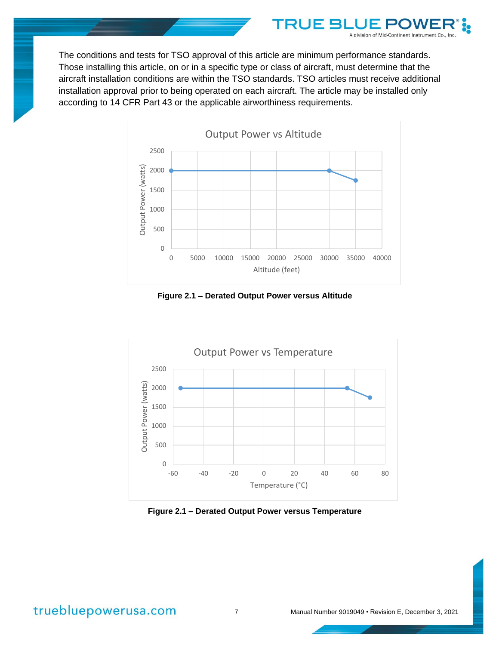

**TRUE B** 

A division of Mid-Continent Instrument Co.



**Figure 2.1 – Derated Output Power versus Altitude**



**Figure 2.1 – Derated Output Power versus Temperature**

# truebluepowerusa.com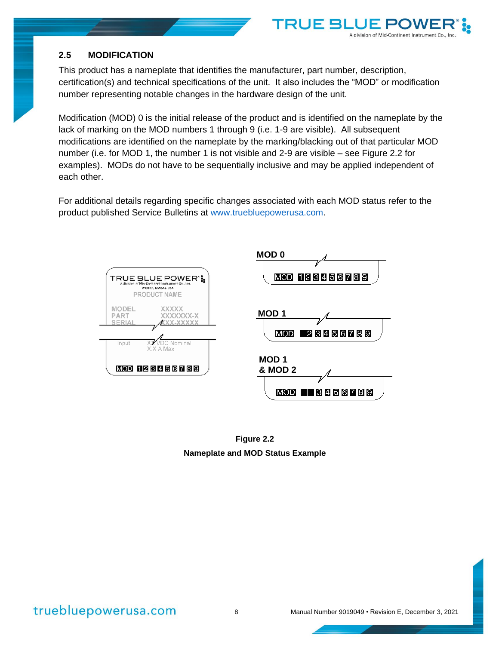### <span id="page-8-0"></span>**2.5 MODIFICATION**

This product has a nameplate that identifies the manufacturer, part number, description, certification(s) and technical specifications of the unit. It also includes the "MOD" or modification number representing notable changes in the hardware design of the unit.

TRUE 5

A division of Mid-Continent Instrument Co., Inc.

Modification (MOD) 0 is the initial release of the product and is identified on the nameplate by the lack of marking on the MOD numbers 1 through 9 (i.e. 1-9 are visible). All subsequent modifications are identified on the nameplate by the marking/blacking out of that particular MOD number (i.e. for MOD 1, the number 1 is not visible and 2-9 are visible – see Figure 2.2 for examples). MODs do not have to be sequentially inclusive and may be applied independent of each other.

For additional details regarding specific changes associated with each MOD status refer to the product published Service Bulletins at [www.truebluepowerusa.com.](http://www.truebluepowerusa.com/)



**Figure 2.2 Nameplate and MOD Status Example**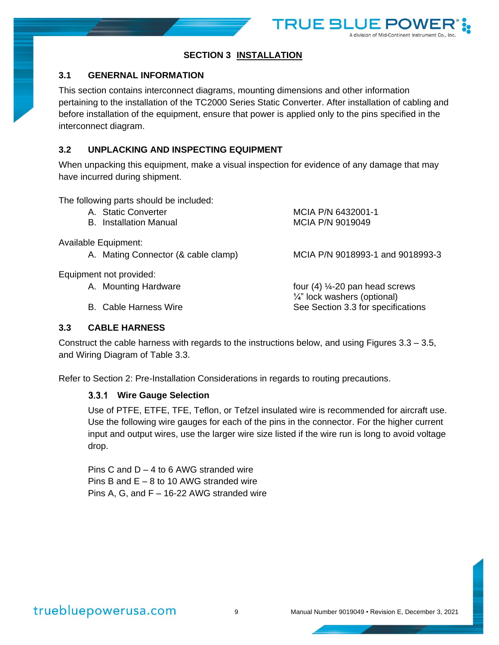

### **SECTION 3 INSTALLATION**

### <span id="page-9-1"></span><span id="page-9-0"></span>**3.1 GENERNAL INFORMATION**

This section contains interconnect diagrams, mounting dimensions and other information pertaining to the installation of the TC2000 Series Static Converter. After installation of cabling and before installation of the equipment, ensure that power is applied only to the pins specified in the interconnect diagram.

### <span id="page-9-2"></span>**3.2 UNPLACKING AND INSPECTING EQUIPMENT**

When unpacking this equipment, make a visual inspection for evidence of any damage that may have incurred during shipment.

The following parts should be included:

- A. Static Converter MCIA P/N 6432001-1 B. Installation Manual MCIA P/N 9019049
- 

Available Equipment:

A. Mating Connector (& cable clamp) MCIA P/N 9018993-1 and 9018993-3

¼" lock washers (optional)

Equipment not provided:

A. Mounting Hardware **Four 4** 6 and 14-20 pan head screws

B. Cable Harness Wire See Section 3.3 for specifications

<span id="page-9-3"></span>**3.3 CABLE HARNESS**

Construct the cable harness with regards to the instructions below, and using Figures 3.3 – 3.5, and Wiring Diagram of Table 3.3.

Refer to Section 2: Pre-Installation Considerations in regards to routing precautions.

### **Wire Gauge Selection**

Use of PTFE, ETFE, TFE, Teflon, or Tefzel insulated wire is recommended for aircraft use. Use the following wire gauges for each of the pins in the connector. For the higher current input and output wires, use the larger wire size listed if the wire run is long to avoid voltage drop.

Pins C and  $D - 4$  to 6 AWG stranded wire Pins B and E – 8 to 10 AWG stranded wire Pins A, G, and F – 16-22 AWG stranded wire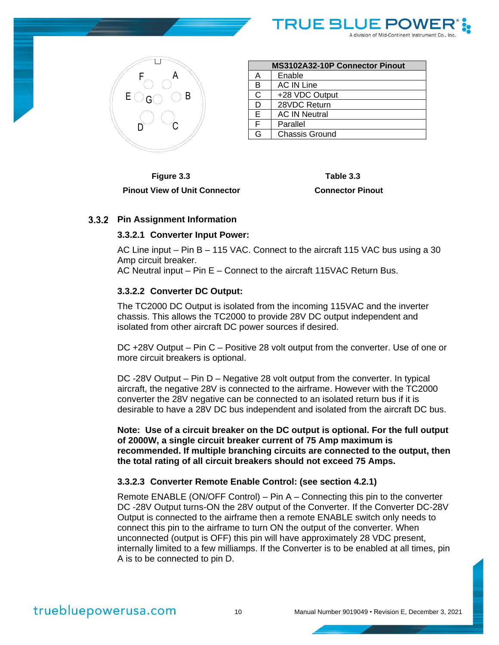



| MS3102A32-10P Connector Pinout |                       |  |
|--------------------------------|-----------------------|--|
| A                              | Enable                |  |
| B                              | <b>AC IN Line</b>     |  |
| $\mathsf{C}$                   | +28 VDC Output        |  |
| D                              | 28VDC Return          |  |
| E                              | <b>AC IN Neutral</b>  |  |
| F                              | Parallel              |  |
| G                              | <b>Chassis Ground</b> |  |

**Figure 3.3 Table 3.3 Pinout View of Unit Connector Connector Pinout**

### **Pin Assignment Information**

#### **3.3.2.1 Converter Input Power:**

AC Line input – Pin B – 115 VAC. Connect to the aircraft 115 VAC bus using a 30 Amp circuit breaker.

AC Neutral input – Pin E – Connect to the aircraft 115VAC Return Bus.

#### **3.3.2.2 Converter DC Output:**

The TC2000 DC Output is isolated from the incoming 115VAC and the inverter chassis. This allows the TC2000 to provide 28V DC output independent and isolated from other aircraft DC power sources if desired.

DC +28V Output – Pin C – Positive 28 volt output from the converter. Use of one or more circuit breakers is optional.

DC -28V Output – Pin D – Negative 28 volt output from the converter. In typical aircraft, the negative 28V is connected to the airframe. However with the TC2000 converter the 28V negative can be connected to an isolated return bus if it is desirable to have a 28V DC bus independent and isolated from the aircraft DC bus.

**Note: Use of a circuit breaker on the DC output is optional. For the full output of 2000W, a single circuit breaker current of 75 Amp maximum is recommended. If multiple branching circuits are connected to the output, then the total rating of all circuit breakers should not exceed 75 Amps.**

#### **3.3.2.3 Converter Remote Enable Control: (see section 4.2.1)**

Remote ENABLE (ON/OFF Control) – Pin A – Connecting this pin to the converter DC -28V Output turns-ON the 28V output of the Converter. If the Converter DC-28V Output is connected to the airframe then a remote ENABLE switch only needs to connect this pin to the airframe to turn ON the output of the converter. When unconnected (output is OFF) this pin will have approximately 28 VDC present, internally limited to a few milliamps. If the Converter is to be enabled at all times, pin A is to be connected to pin D.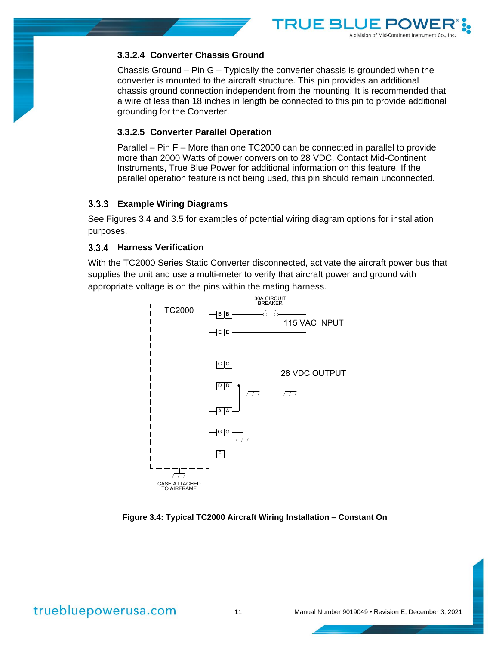

### **3.3.2.4 Converter Chassis Ground**

Chassis Ground – Pin G – Typically the converter chassis is grounded when the converter is mounted to the aircraft structure. This pin provides an additional chassis ground connection independent from the mounting. It is recommended that a wire of less than 18 inches in length be connected to this pin to provide additional grounding for the Converter.

### **3.3.2.5 Converter Parallel Operation**

Parallel – Pin F – More than one TC2000 can be connected in parallel to provide more than 2000 Watts of power conversion to 28 VDC. Contact Mid-Continent Instruments, True Blue Power for additional information on this feature. If the parallel operation feature is not being used, this pin should remain unconnected.

### **Example Wiring Diagrams**

See Figures 3.4 and 3.5 for examples of potential wiring diagram options for installation purposes.

### **Harness Verification**

With the TC2000 Series Static Converter disconnected, activate the aircraft power bus that supplies the unit and use a multi-meter to verify that aircraft power and ground with appropriate voltage is on the pins within the mating harness.



#### **Figure 3.4: Typical TC2000 Aircraft Wiring Installation – Constant On**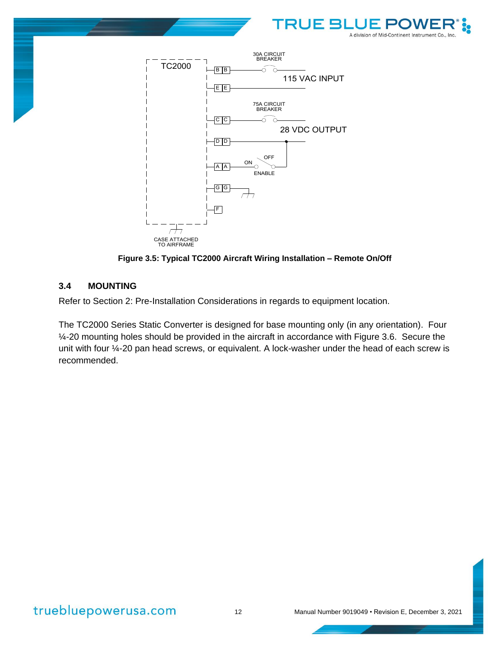



**Figure 3.5: Typical TC2000 Aircraft Wiring Installation – Remote On/Off**

### <span id="page-12-0"></span>**3.4 MOUNTING**

Refer to Section 2: Pre-Installation Considerations in regards to equipment location.

The TC2000 Series Static Converter is designed for base mounting only (in any orientation). Four ¼-20 mounting holes should be provided in the aircraft in accordance with Figure 3.6. Secure the unit with four ¼-20 pan head screws, or equivalent. A lock-washer under the head of each screw is recommended.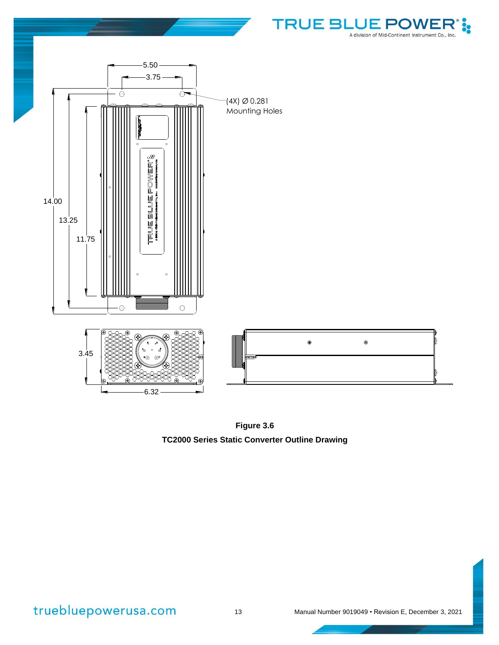

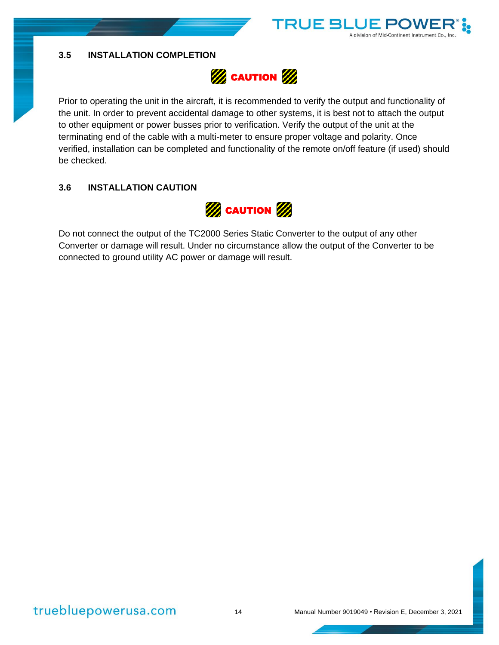<span id="page-14-0"></span>



**TRUE BI** 

A division of Mid-Continent Instrumer

Prior to operating the unit in the aircraft, it is recommended to verify the output and functionality of the unit. In order to prevent accidental damage to other systems, it is best not to attach the output to other equipment or power busses prior to verification. Verify the output of the unit at the terminating end of the cable with a multi-meter to ensure proper voltage and polarity. Once verified, installation can be completed and functionality of the remote on/off feature (if used) should be checked.

### <span id="page-14-1"></span>**3.6 INSTALLATION CAUTION**



Do not connect the output of the TC2000 Series Static Converter to the output of any other Converter or damage will result. Under no circumstance allow the output of the Converter to be connected to ground utility AC power or damage will result.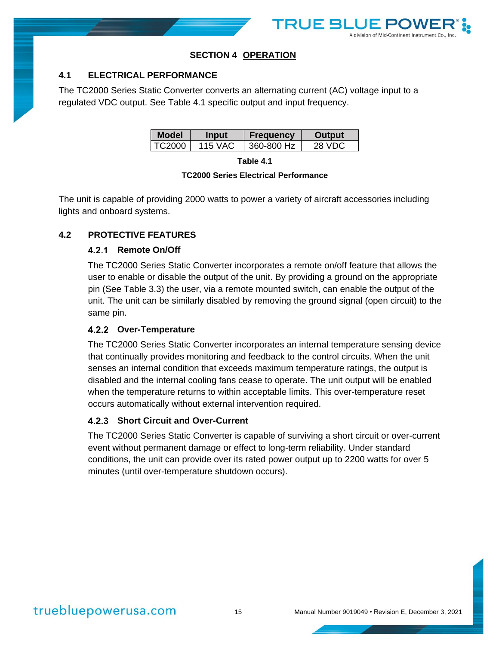

### **SECTION 4 OPERATION**

### <span id="page-15-1"></span><span id="page-15-0"></span>**4.1 ELECTRICAL PERFORMANCE**

The TC2000 Series Static Converter converts an alternating current (AC) voltage input to a regulated VDC output. See Table 4.1 specific output and input frequency.

| Model  | <b>Input</b> | <b>Frequency</b> | <b>Output</b> |
|--------|--------------|------------------|---------------|
| TC2000 | 115 VAC      | 360-800 Hz       | 28 VDC        |

**Table 4.1**

#### **TC2000 Series Electrical Performance**

The unit is capable of providing 2000 watts to power a variety of aircraft accessories including lights and onboard systems.

### <span id="page-15-2"></span>**4.2 PROTECTIVE FEATURES**

### **Remote On/Off**

The TC2000 Series Static Converter incorporates a remote on/off feature that allows the user to enable or disable the output of the unit. By providing a ground on the appropriate pin (See Table 3.3) the user, via a remote mounted switch, can enable the output of the unit. The unit can be similarly disabled by removing the ground signal (open circuit) to the same pin.

### **Over-Temperature**

The TC2000 Series Static Converter incorporates an internal temperature sensing device that continually provides monitoring and feedback to the control circuits. When the unit senses an internal condition that exceeds maximum temperature ratings, the output is disabled and the internal cooling fans cease to operate. The unit output will be enabled when the temperature returns to within acceptable limits. This over-temperature reset occurs automatically without external intervention required.

### **4.2.3 Short Circuit and Over-Current**

The TC2000 Series Static Converter is capable of surviving a short circuit or over-current event without permanent damage or effect to long-term reliability. Under standard conditions, the unit can provide over its rated power output up to 2200 watts for over 5 minutes (until over-temperature shutdown occurs).